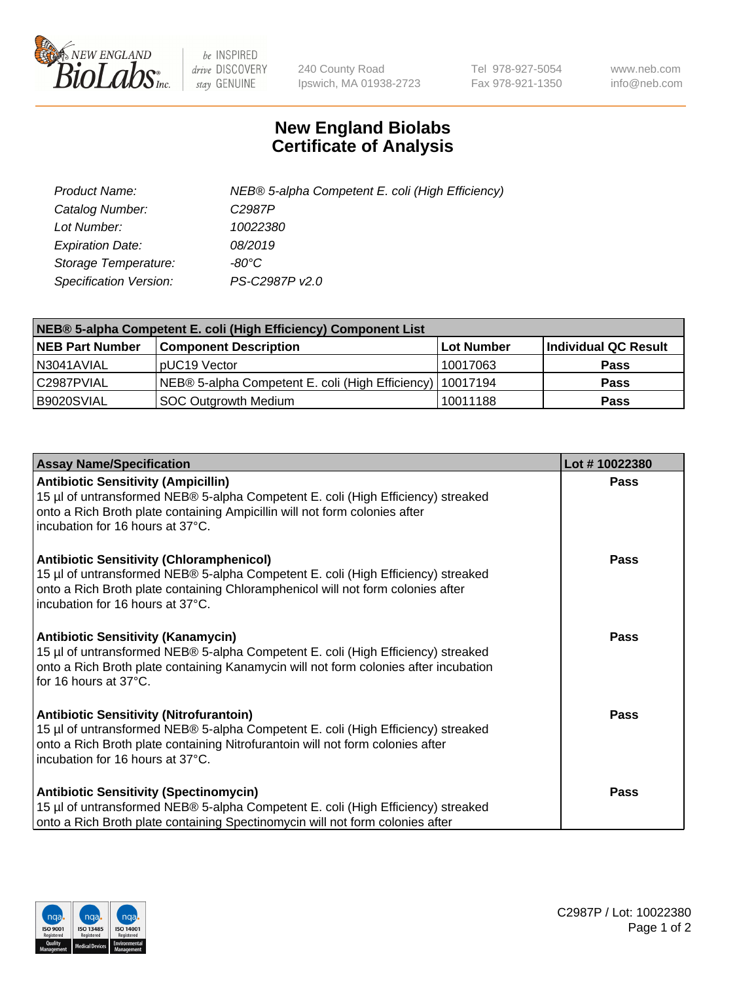

 $be$  INSPIRED drive DISCOVERY stay GENUINE

240 County Road Ipswich, MA 01938-2723 Tel 978-927-5054 Fax 978-921-1350 www.neb.com info@neb.com

## **New England Biolabs Certificate of Analysis**

| Product Name:                 | NEB® 5-alpha Competent E. coli (High Efficiency) |
|-------------------------------|--------------------------------------------------|
| Catalog Number:               | C <sub>2987</sub> P                              |
| Lot Number:                   | 10022380                                         |
| <b>Expiration Date:</b>       | 08/2019                                          |
| Storage Temperature:          | -80°C                                            |
| <b>Specification Version:</b> | PS-C2987P v2.0                                   |

| NEB® 5-alpha Competent E. coli (High Efficiency) Component List |                                                             |              |                      |  |
|-----------------------------------------------------------------|-------------------------------------------------------------|--------------|----------------------|--|
| <b>NEB Part Number</b>                                          | <b>Component Description</b>                                | l Lot Number | Individual QC Result |  |
| N3041AVIAL                                                      | pUC19 Vector                                                | 10017063     | <b>Pass</b>          |  |
| C2987PVIAL                                                      | NEB® 5-alpha Competent E. coli (High Efficiency)   10017194 |              | <b>Pass</b>          |  |
| B9020SVIAL                                                      | <b>SOC Outgrowth Medium</b>                                 | 10011188     | <b>Pass</b>          |  |

| <b>Assay Name/Specification</b>                                                                                                                                                                                                                            | Lot #10022380 |
|------------------------------------------------------------------------------------------------------------------------------------------------------------------------------------------------------------------------------------------------------------|---------------|
| <b>Antibiotic Sensitivity (Ampicillin)</b><br>15 µl of untransformed NEB® 5-alpha Competent E. coli (High Efficiency) streaked<br>onto a Rich Broth plate containing Ampicillin will not form colonies after<br>incubation for 16 hours at 37°C.           | Pass          |
| <b>Antibiotic Sensitivity (Chloramphenicol)</b><br>15 µl of untransformed NEB® 5-alpha Competent E. coli (High Efficiency) streaked<br>onto a Rich Broth plate containing Chloramphenicol will not form colonies after<br>incubation for 16 hours at 37°C. | Pass          |
| Antibiotic Sensitivity (Kanamycin)<br>15 µl of untransformed NEB® 5-alpha Competent E. coli (High Efficiency) streaked<br>onto a Rich Broth plate containing Kanamycin will not form colonies after incubation<br>for 16 hours at 37°C.                    | Pass          |
| <b>Antibiotic Sensitivity (Nitrofurantoin)</b><br>15 µl of untransformed NEB® 5-alpha Competent E. coli (High Efficiency) streaked<br>onto a Rich Broth plate containing Nitrofurantoin will not form colonies after<br>incubation for 16 hours at 37°C.   | <b>Pass</b>   |
| <b>Antibiotic Sensitivity (Spectinomycin)</b><br>15 µl of untransformed NEB® 5-alpha Competent E. coli (High Efficiency) streaked<br>onto a Rich Broth plate containing Spectinomycin will not form colonies after                                         | Pass          |